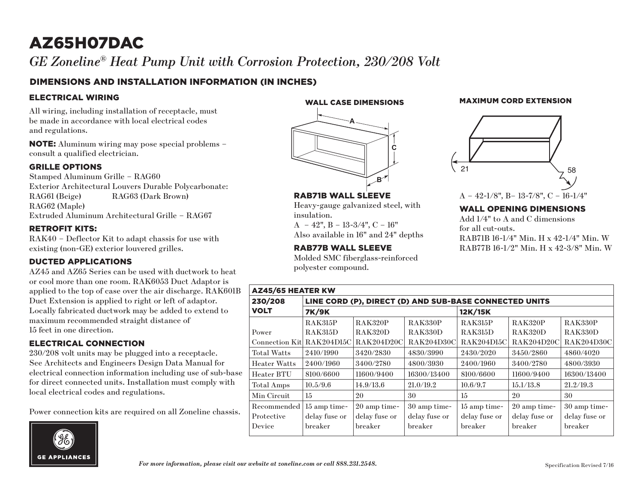# AZ65H07DAC

*GE Zoneline® Heat Pump Unit with Corrosion Protection, 230/208 Volt* Zoneline RAC Wall Installation

### DIMENSIONS AND INSTALLATION INFORMATION (IN INCHES)

#### ELECTRICAL WIRING

All wiring, including installation of receptacle, must be made in accordance with local electrical codes and regulations.

NOTE: Aluminum wiring may pose special problems – consult a qualified electrician.

#### GRILLE OPTIONS

Stamped Aluminum Grille – RAG60 Exterior Architectural Louvers Durable Polycarbonate: RAG61 (Beige) RAG63 (Dark Brown) RAG62 (Maple) Extruded Aluminum Architectural Grille – RAG67

#### RETROFIT KITS:

RAK40 – Deflector Kit to adapt chassis for use with existing (non-GE) exterior louvered grilles.

#### DUCTED APPLICATIONS

AZ45 and AZ65 Series can be used with ductwork to heat or cool more than one room. RAK6053 Duct Adaptor is applied to the top of case over the air discharge. RAK601B Duct Extension is applied to right or left of adaptor. Locally fabricated ductwork may be added to extend to maximum recommended straight distance of 15 feet in one direction.

#### ELECTRICAL CONNECTION

230/208 volt units may be plugged into a receptacle. See Architects and Engineers Design Data Manual for electrical connection information including use of sub-base for direct connected units. Installation must comply with local electrical codes and regulations.

Power connection kits are required on all Zoneline chassis.



WALL CASE DIMENSIONS



RAB71B WALL SLEEVE

 $A - 42$ ",  $B - 13-3/4$ ",  $C - 16$ " Also available in 16" and 24" depths

RAB77B WALL SLEEVE

polyester compound.

insulation.

Heavy-gauge galvanized steel, with

Molded SMC fiberglass-reinforced

### MAXIMUM CORD EXTENSION



#### WALL OPENING DIMENSIONS

Add 1/4" to A and C dimensions for all cut-outs. RAB71B 16-1/4" Min. H x 42-1/4" Min. W RAB77B 16-1/2" Min. H x 42-3/8" Min. W

| <b>AZ45/65 HEATER KW</b>   |                                                        |                   |                   |                   |                |                   |
|----------------------------|--------------------------------------------------------|-------------------|-------------------|-------------------|----------------|-------------------|
| 230/208                    | LINE CORD (P), DIRECT (D) AND SUB-BASE CONNECTED UNITS |                   |                   |                   |                |                   |
| <b>VOLT</b>                | <b>7K/9K</b>                                           |                   |                   | 12K/15K           |                |                   |
|                            | <b>RAK315P</b>                                         | <b>RAK320P</b>    | RAK330P           | RAK315P           | <b>RAK320P</b> | RAK330P           |
| Power                      | <b>RAK315D</b>                                         | <b>RAK320D</b>    | RAK330D           | <b>RAK315D</b>    | RAK320D        | RAK330D           |
| Connection Kitl RAK204D15C |                                                        | <b>RAK204D20C</b> | <b>RAK204D30C</b> | <b>RAK204D15C</b> | RAK204D20C     | <b>RAK204D30C</b> |
| <b>Total Watts</b>         | 2410/1990                                              | 3420/2830         | 4830/3990         | 2430/2020         | 3450/2860      | 4860/4020         |
| <b>Heater Watts</b>        | 2400/1960                                              | 3400/2780         | 4800/3930         | 2400/1960         | 3400/2780      | 4800/3930         |
| Heater BTU                 | 8100/6600                                              | 11600/9400        | 16300/13400       | 8100/6600         | 11600/9400     | 16300/13400       |
| Total Amps                 | 10.5/9.6                                               | 14.9/13.6         | 21.0/19.2         | 10.6/9.7          | 15.1/13.8      | 21.2/19.3         |
| Min Circuit                | $15\,$                                                 | 20                | 30                | 15                | 20             | 30                |
| Recommended                | 15 amp time-                                           | 20 amp time-      | 30 amp time-      | 15 amp time-      | 20 amp time-   | 30 amp time-      |
| Protective                 | delay fuse or                                          | delay fuse or     | delay fuse or     | delay fuse or     | delay fuse or  | delay fuse or     |
| Device                     | breaker                                                | breaker           | breaker           | breaker           | breaker        | breaker           |